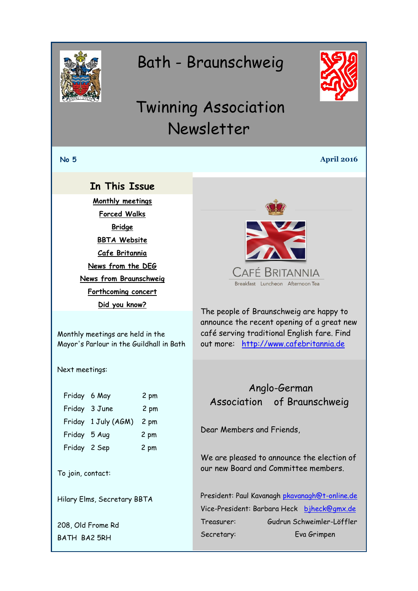<span id="page-0-0"></span>

# Bath - Braunschweig



# Twinning Association Newsletter

#### **No 5 April 2016**

### **In This Issue**

**[Monthly meetings](#page-0-0) [Forced Walks](#page-1-0) [Bridge](#page-2-0) [BBTA Website](#page-3-0) [Cafe Britannia](#page-0-1) [News from the DEG](#page-0-0) [News from Braunschweig](#page-1-0) [Forthcoming concert](#page-2-1) [Did you know?](#page-2-0)**

<span id="page-0-1"></span>

The people of Braunschweig are happy to announce the recent opening of a great new café serving traditional English fare. Find out more: [http://www.cafebritannia.de](http://www.cafebritannia.de/)

## Anglo-German Association of Braunschweig

Dear Members and Friends,

We are pleased to announce the election of our new Board and Committee members.

President: Paul Kavanagh [pkavanagh@t-online.de](mailto:pkavanagh@t-online.de) Vice-President: Barbara Heck [bjheck@gmx.de](mailto:bjheck@gmx.de) Treasurer: Gudrun Schweimler-Löffler Secretary: Eva Grimpen

Monthly meetings are held in the Mayor's Parlour in the Guildhall in Bath

Next meetings:

| Friday 6 May        | 2 pm |
|---------------------|------|
| Friday 3 June       | 2 pm |
| Friday 1 July (AGM) | 2 pm |
| Friday 5 Aug        | 2 pm |
| Friday 2 Sep        | 2 pm |
|                     |      |

To join, contact:

Hilary Elms, Secretary BBTA

208, Old Frome Rd BATH BA2 5RH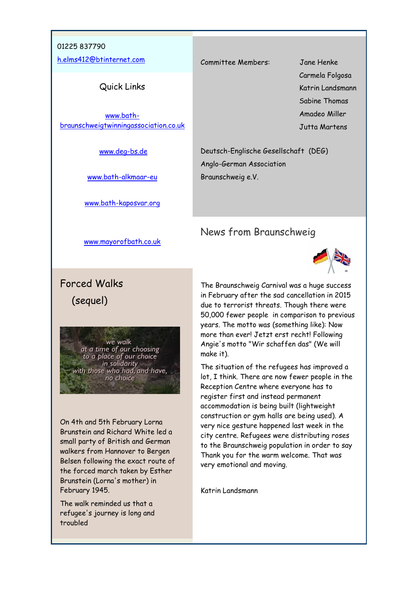#### <span id="page-1-0"></span>01225 837790

[h.elms412@btinternet.com](mailto:h.elms412@btinternet.com)

#### Quick Links

[www.bath](http://www.bath-braunschweigtwinningassociation.co.uk/)[braunschweigtwinningassociation.co.uk](http://www.bath-braunschweigtwinningassociation.co.uk/)

[www.deg-bs.de](http://www.deg-bs.de/)

[www.bath-alkmaar-eu](http://r20.rs6.net/tn.jsp?f=001fPmIxxuV1EvySWbMmlGXXFFAc0y5_Fupo1XH1y297FHriAr_VdMg0sRtPfJ8Nwf_yLBF1FYBFfzAPHmCK0uPIOYFC63dzctrQR2Gp0wtmDtm_sSXGzYjgAYN04nolOMivoudgDt1b28qyd2W7k-J01yEdQILfJte9utXCcuOdOQ=&c=x4uFXeS2MKWwDKatvqC01tkfrPFSemAbtsupUKDS8fNpZkU9OoVHqA==&ch=HIyqJrT5AXnvPd2Lb7kp85RoVW_d-SxKSCDCsSLPKKxBhOqjyExQCw==)

[www.bath-kaposvar.org](http://r20.rs6.net/tn.jsp?f=001fPmIxxuV1EvySWbMmlGXXFFAc0y5_Fupo1XH1y297FHriAr_VdMg0sRtPfJ8Nwf_hzV6KP6N72XWRgUjugtFBbfptj4GIVQB3Lx6kjOWXXlZkM6aQEc0kdVPt5OzI2Sf2CaEtlurxJA7DFA8thsnPvCw5BK7vSWAyaIFP-s0abs32aLMXkDlvw==&c=x4uFXeS2MKWwDKatvqC01tkfrPFSemAbtsupUKDS8fNpZkU9OoVHqA==&ch=HIyqJrT5AXnvPd2Lb7kp85RoVW_d-SxKSCDCsSLPKKxBhOqjyExQCw==)

Committee Members: Jane Henke

 Carmela Folgosa Katrin Landsmann Sabine Thomas Amadeo Miller Jutta Martens

Deutsch-Englische Gesellschaft (DEG) Anglo-German Association Braunschweig e.V.

### News from Braunschweig



The Braunschweig Carnival was a huge success in February after the sad cancellation in 2015 due to terrorist threats. Though there were 50,000 fewer people in comparison to previous years. The motto was (something like): Now more than ever! Jetzt erst recht! Following Angie's motto "Wir schaffen das" (We will make it).

The situation of the refugees has improved a lot, I think. There are now fewer people in the Reception Centre where everyone has to register first and instead permanent accommodation is being built (lightweight construction or gym halls are being used). A very nice gesture happened last week in the city centre. Refugees were distributing roses to the Braunschweig population in order to say Thank you for the warm welcome. That was very emotional and moving.

Katrin Landsmann

[www.mayorofbath.co.uk](http://www.mayorofbath.co.uk/)

# Forced Walks (sequel)

we walk at a time of our choosing to a place of our choice<br>to a place of our choice<br>in solidarity<br>with those who had, and have, no choice

On 4th and 5th February Lorna Brunstein and Richard White led a small party of British and German walkers from Hannover to Bergen Belsen following the exact route of the forced march taken by Esther Brunstein (Lorna's mother) in February 1945.

The walk reminded us that a refugee's journey is long and troubled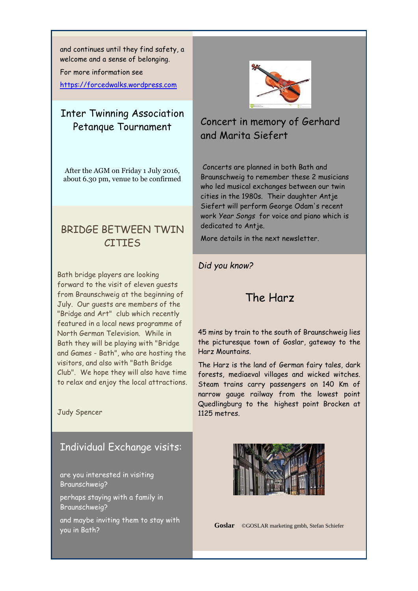<span id="page-2-0"></span>and continues until they find safety, a welcome and a sense of belonging.

For more information see

[https://forcedwalks.wordpress.com](https://forcedwalks.wordpress.com/)

# Inter Twinning Association Petanque Tournament

After the AGM on Friday 1 July 2016, about 6.30 pm, venue to be confirmed

# BRIDGE BETWEEN TWIN **CITIFS**

Bath bridge players are looking forward to the visit of eleven guests from Braunschweig at the beginning of July. Our guests are members of the "Bridge and Art" club which recently featured in a local news programme of North German Television. While in Bath they will be playing with "Bridge and Games - Bath", who are hosting the visitors, and also with "Bath Bridge Club". We hope they will also have time to relax and enjoy the local attractions.

Judy Spencer

### Individual Exchange visits:

are you interested in visiting Braunschweig?

perhaps staying with a family in Braunschweig?

and maybe inviting them to stay with you in Bath?

<span id="page-2-1"></span>

# Concert in memory of Gerhard and Marita Siefert

Concerts are planned in both Bath and Braunschweig to remember these 2 musicians who led musical exchanges between our twin cities in the 1980s. Their daughter Antje Siefert will perform George Odam's recent work *Year Songs* for voice and piano which is dedicated to Antje.

More details in the next newsletter.

#### *Did you know?*

## The Harz

45 mins by train to the south of Braunschweig lies the picturesque town of Goslar, gateway to the Harz Mountains.

The Harz is the land of German fairy tales, dark forests, mediaeval villages and wicked witches. Steam trains carry passengers on 140 Km of narrow gauge railway from the lowest point Quedlingburg to the highest point Brocken at 1125 metres.



**Goslar** ©GOSLAR marketing gmbh, Stefan Schiefer